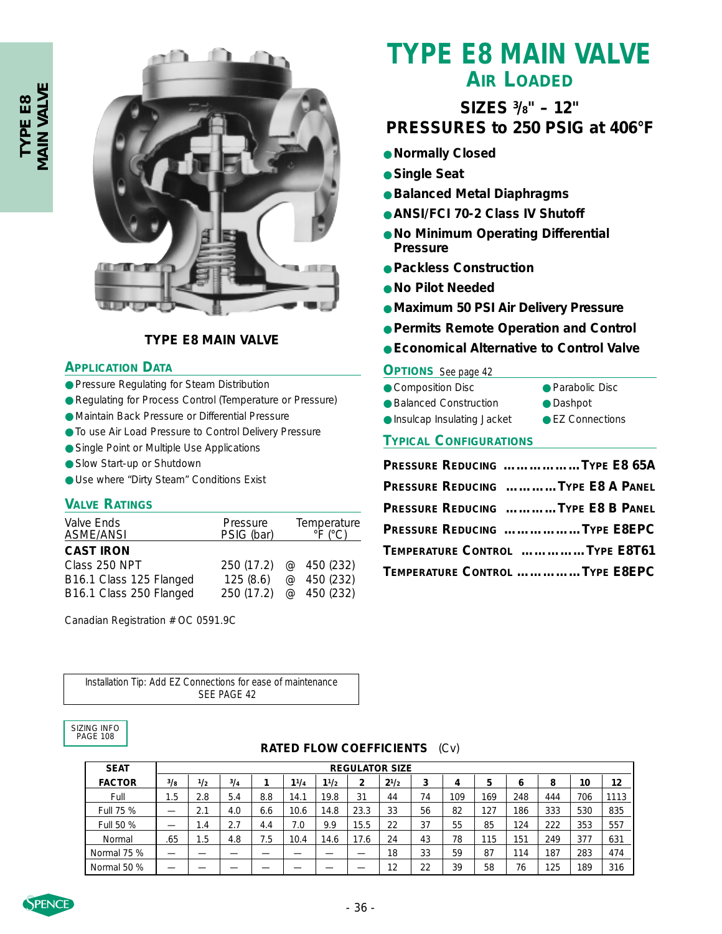

## **TYPE E8 MAIN VALVE**

### **APPLICATION DATA**

- Pressure Regulating for Steam Distribution
- Regulating for Process Control (Temperature or Pressure)
- Maintain Back Pressure or Differential Pressure
- To use Air Load Pressure to Control Delivery Pressure
- Single Point or Multiple Use Applications
- Slow Start-up or Shutdown
- Use where "Dirty Steam" Conditions Exist

#### **VALVE RATINGS**

| Valve Ends<br><b>ASME/ANSI</b> | Pressure<br>PSIG (bar) | Temperature<br>$\degree$ F ( $\degree$ C) |             |  |  |  |
|--------------------------------|------------------------|-------------------------------------------|-------------|--|--|--|
| <b>CAST IRON</b>               |                        |                                           |             |  |  |  |
| Class 250 NPT                  | 250 (17.2) @ 450 (232) |                                           |             |  |  |  |
| B16.1 Class 125 Flanged        | 125(8.6)               |                                           | @ 450 (232) |  |  |  |
| B16.1 Class 250 Flanged        | 250 (17.2) @ 450 (232) |                                           |             |  |  |  |

Canadian Registration # OC 0591.9C

#### *Installation Tip:* Add EZ Connections for ease of maintenance SEE PAGE 42

## SIZING INFO PAGE 108

# **TYPE E8 MAIN VALVE AIR LOADED**

# **SIZES 3 /8" – 12" PRESSURES to 250 PSIG at 406°F**

- **Normally Closed**
- **Single Seat**
- **Balanced Metal Diaphragms**
- **ANSI/FCI 70-2 Class IV Shutoff**
- **No Minimum Operating Differential Pressure**
- **Packless Construction**
- **No Pilot Needed**
- **Maximum 50 PSI Air Delivery Pressure**
- **Permits Remote Operation and Control**
- **Economical Alternative to Control Valve**

### **OPTIONS** *See page 42*

- Composition Disc Parabolic Disc
- Balanced Construction Dashpot
- Insulcap Insulating Jacket EZ Connections
	-

### **TYPICAL CONFIGURATIONS**

| PRESSURE REDUCING TYPE E8 65A     |
|-----------------------------------|
| PRESSURE REDUCING TYPE E8 A PANEL |
| PRESSURE REDUCING TYPE E8 B PANEL |
| PRESSURE REDUCING TYPE E8EPC      |
| TEMPERATURE CONTROL TYPE E8T61    |
| TEMPERATURE CONTROL TYPE E8EPC    |

| <b>SEAT</b>   | <b>REGULATOR SIZE</b> |                 |     |     |      |      |      |           |    |     |     |     |     |     |      |
|---------------|-----------------------|-----------------|-----|-----|------|------|------|-----------|----|-----|-----|-----|-----|-----|------|
| <b>FACTOR</b> | 3/g                   | 1/2             | 3/4 |     | 11/4 | 11/2 | 2    | $2^{1/2}$ | 3  | 4   | 5   | 6   | 8   | 10  | 12   |
| Full          | 1.5                   | 2.8             | 5.4 | 8.8 | 14.1 | 19.8 | 31   | 44        | 74 | 109 | 169 | 248 | 444 | 706 | 1113 |
| Full 75 %     |                       | 2.1             | 4.0 | 6.6 | 10.6 | 14.8 | 23.3 | 33        | 56 | 82  | 127 | 186 | 333 | 530 | 835  |
| Full 50 %     |                       | $\mathsf{I}$ .4 | 2.7 | 4.4 | 7.0  | 9.9  | 15.5 | 22        | 37 | 55  | 85  | 124 | 222 | 353 | 557  |
| Normal        | .65                   | . 5             | 4.8 | 7.5 | 10.4 | 14.6 | 17.6 | 24        | 43 | 78  | 115 | 151 | 249 | 377 | 631  |
| Normal 75 %   |                       |                 |     |     |      |      |      | 18        | 33 | 59  | 87  | 114 | 187 | 283 | 474  |
| Normal 50 %   |                       |                 |     |     |      |      |      | 12        | 22 | 39  | 58  | 76  | 125 | 189 | 316  |

**RATED FLOW COEFFICIENTS** (Cv)